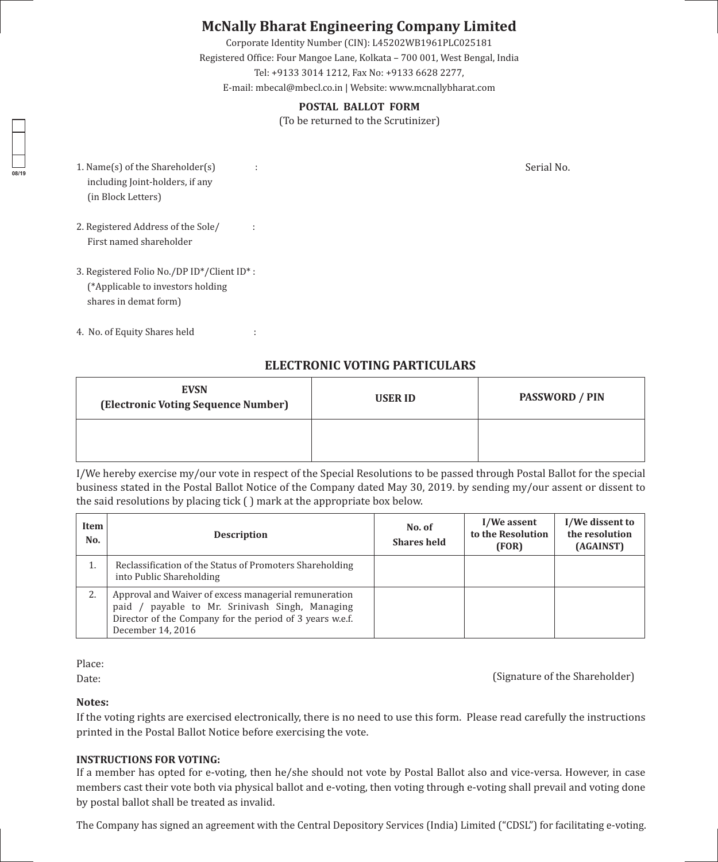# **McNally Bharat Engineering Company Limited**

Corporate Identity Number (CIN): L45202WB1961PLC025181 Registered Office: Four Mangoe Lane, Kolkata – 700 001, West Bengal, India Tel: +9133 3014 1212, Fax No: +9133 6628 2277, E-mail: mbecal@mbecl.co.in | Website: www.mcnallybharat.com

## **POSTAL BALLOT FORM**

(To be returned to the Scrutinizer)

1. Name(s) of the Shareholder(s) : including Joint-holders, if any (in Block Letters)

**08/19**

- 2. Registered Address of the Sole/ : First named shareholder
- 3. Registered Folio No./DP ID\*/Client ID\* : (\*Applicable to investors holding shares in demat form)
- 4. No. of Equity Shares held :

**ELECTRONIC VOTING PARTICULARS**

| <b>EVSN</b><br>(Electronic Voting Sequence Number) | <b>USER ID</b> | <b>PASSWORD / PIN</b> |  |
|----------------------------------------------------|----------------|-----------------------|--|
|                                                    |                |                       |  |

I/We hereby exercise my/our vote in respect of the Special Resolutions to be passed through Postal Ballot for the special business stated in the Postal Ballot Notice of the Company dated May 30, 2019. by sending my/our assent or dissent to the said resolutions by placing tick ( ) mark at the appropriate box below.

| Item<br>No. | <b>Description</b>                                                                                                                                                                              | No. of<br><b>Shares held</b> | I/We assent<br>to the Resolution<br>(FOR) | I/We dissent to<br>the resolution<br>(AGAINST) |
|-------------|-------------------------------------------------------------------------------------------------------------------------------------------------------------------------------------------------|------------------------------|-------------------------------------------|------------------------------------------------|
| 1.          | Reclassification of the Status of Promoters Shareholding<br>into Public Shareholding                                                                                                            |                              |                                           |                                                |
| 2.          | Approval and Waiver of excess managerial remuneration<br>payable to Mr. Srinivash Singh, Managing<br>$p$ aid /<br>Director of the Company for the period of 3 years w.e.f.<br>December 14, 2016 |                              |                                           |                                                |

Place:

Date: (Signature of the Shareholder)

### **Notes:**

If the voting rights are exercised electronically, there is no need to use this form. Please read carefully the instructions printed in the Postal Ballot Notice before exercising the vote.

## **INSTRUCTIONS FOR VOTING:**

If a member has opted for e-voting, then he/she should not vote by Postal Ballot also and vice-versa. However, in case members cast their vote both via physical ballot and e-voting, then voting through e-voting shall prevail and voting done by postal ballot shall be treated as invalid.

The Company has signed an agreement with the Central Depository Services (India) Limited ("CDSL") for facilitating e-voting.

Serial No.